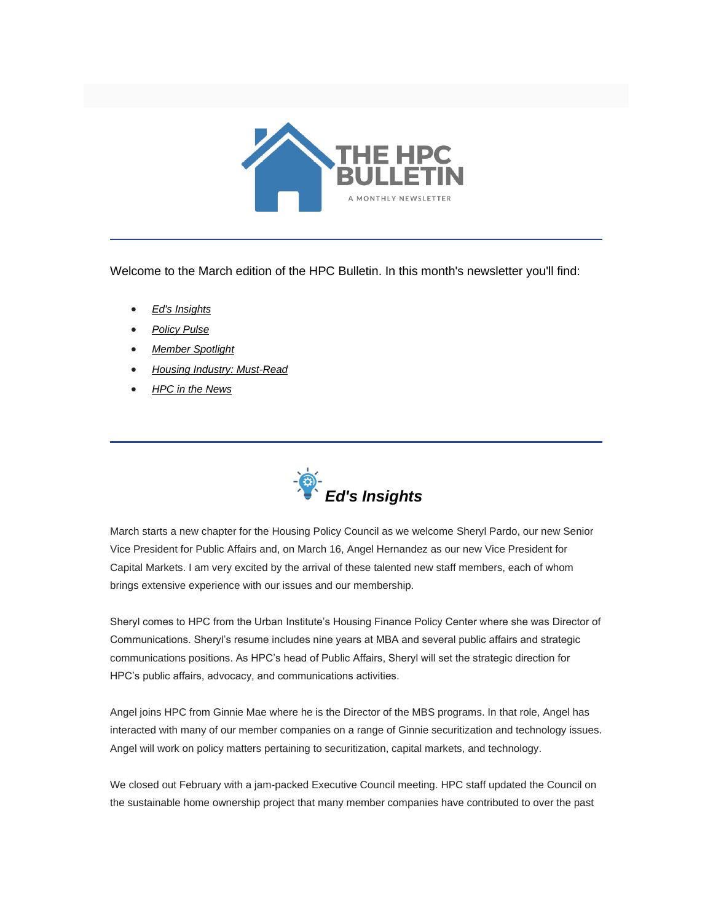

Welcome to the March edition of the HPC Bulletin. In this month's newsletter you'll find:

- *[Ed's Insights](#page-0-0)*
- *[Policy Pulse](#page-1-0)*
- *[Member Spotlight](#page-3-0)*
- *[Housing Industry: Must-Read](#page-3-1)*
- *[HPC in the News](#page-3-2)*

<span id="page-0-0"></span>

March starts a new chapter for the Housing Policy Council as we welcome Sheryl Pardo, our new Senior Vice President for Public Affairs and, on March 16, Angel Hernandez as our new Vice President for Capital Markets. I am very excited by the arrival of these talented new staff members, each of whom brings extensive experience with our issues and our membership.

Sheryl comes to HPC from the Urban Institute's Housing Finance Policy Center where she was Director of Communications. Sheryl's resume includes nine years at MBA and several public affairs and strategic communications positions. As HPC's head of Public Affairs, Sheryl will set the strategic direction for HPC's public affairs, advocacy, and communications activities.

Angel joins HPC from Ginnie Mae where he is the Director of the MBS programs. In that role, Angel has interacted with many of our member companies on a range of Ginnie securitization and technology issues. Angel will work on policy matters pertaining to securitization, capital markets, and technology.

We closed out February with a jam-packed Executive Council meeting. HPC staff updated the Council on the sustainable home ownership project that many member companies have contributed to over the past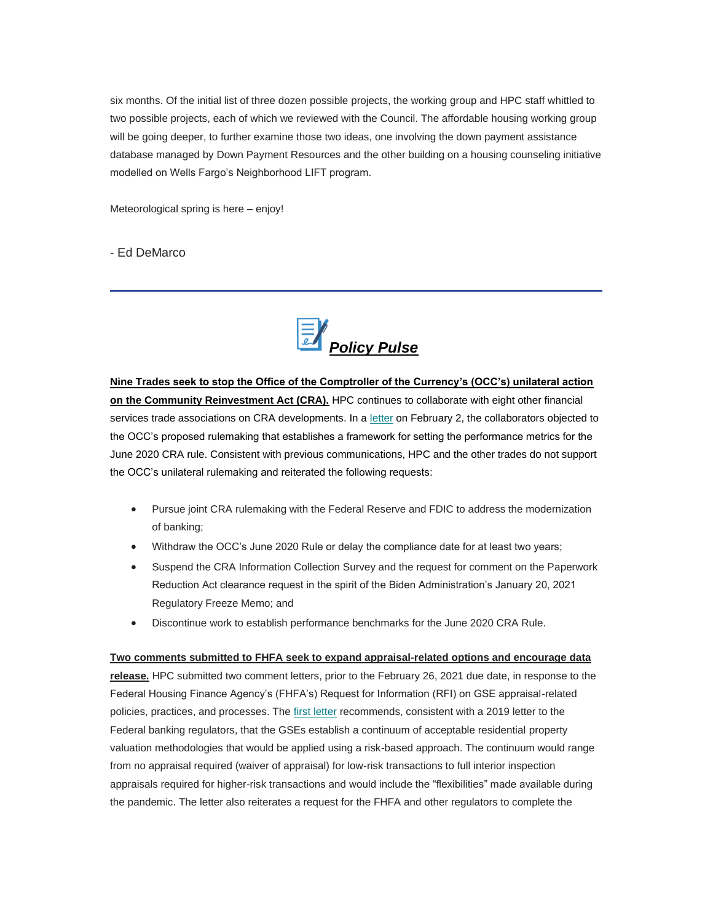six months. Of the initial list of three dozen possible projects, the working group and HPC staff whittled to two possible projects, each of which we reviewed with the Council. The affordable housing working group will be going deeper, to further examine those two ideas, one involving the down payment assistance database managed by Down Payment Resources and the other building on a housing counseling initiative modelled on Wells Fargo's Neighborhood LIFT program.

Meteorological spring is here – enjoy!

- Ed DeMarco

<span id="page-1-0"></span>

**Nine Trades seek to stop the Office of the Comptroller of the Currency's (OCC's) unilateral action on the Community Reinvestment Act (CRA).** HPC continues to collaborate with eight other financial services trade associations on CRA developments. In a [letter](https://nam12.safelinks.protection.outlook.com/?url=https%3A%2F%2Ffbb0ab68-1668-4db6-9365-051035190b71.filesusr.com%2Fugd%2Fd315af_e4d1e17f91234203a9b491226044e169.pdf&data=04%7C01%7Canna.herndon%40edelman.com%7C424c4e86291e411d142408d8ddb7d568%7Cb824bfb3918e43c2bb1cdcc1ba40a82b%7C0%7C1%7C637503128917472842%7CUnknown%7CTWFpbGZsb3d8eyJWIjoiMC4wLjAwMDAiLCJQIjoiV2luMzIiLCJBTiI6Ik1haWwiLCJXVCI6Mn0%3D%7C1000&sdata=xlk27yy%2BUMYRIHTyVfQFC3OIto%2F%2Fy6Ff8CArS8ye0BU%3D&reserved=0) on February 2, the collaborators objected to the OCC's proposed rulemaking that establishes a framework for setting the performance metrics for the June 2020 CRA rule. Consistent with previous communications, HPC and the other trades do not support the OCC's unilateral rulemaking and reiterated the following requests:

- Pursue joint CRA rulemaking with the Federal Reserve and FDIC to address the modernization of banking;
- Withdraw the OCC's June 2020 Rule or delay the compliance date for at least two years;
- Suspend the CRA Information Collection Survey and the request for comment on the Paperwork Reduction Act clearance request in the spirit of the Biden Administration's January 20, 2021 Regulatory Freeze Memo; and
- Discontinue work to establish performance benchmarks for the June 2020 CRA Rule.

**Two comments submitted to FHFA seek to expand appraisal-related options and encourage data release.** HPC submitted two comment letters, prior to the February 26, 2021 due date, in response to the Federal Housing Finance Agency's (FHFA's) Request for Information (RFI) on GSE appraisal-related policies, practices, and processes. The [first letter](https://nam12.safelinks.protection.outlook.com/?url=https%3A%2F%2Ffbb0ab68-1668-4db6-9365-051035190b71.filesusr.com%2Fugd%2Fd315af_de45ebe0b6734389a7d9975ae618d358.pdf&data=04%7C01%7Canna.herndon%40edelman.com%7C424c4e86291e411d142408d8ddb7d568%7Cb824bfb3918e43c2bb1cdcc1ba40a82b%7C0%7C1%7C637503128917482828%7CUnknown%7CTWFpbGZsb3d8eyJWIjoiMC4wLjAwMDAiLCJQIjoiV2luMzIiLCJBTiI6Ik1haWwiLCJXVCI6Mn0%3D%7C1000&sdata=FpFsvdnQz0uU8T0dmg7fgF4qCJV9SyWhLuCI2m%2Bfrcw%3D&reserved=0) recommends, consistent with a 2019 letter to the Federal banking regulators, that the GSEs establish a continuum of acceptable residential property valuation methodologies that would be applied using a risk-based approach. The continuum would range from no appraisal required (waiver of appraisal) for low-risk transactions to full interior inspection appraisals required for higher-risk transactions and would include the "flexibilities" made available during

the pandemic. The letter also reiterates a request for the FHFA and other regulators to complete the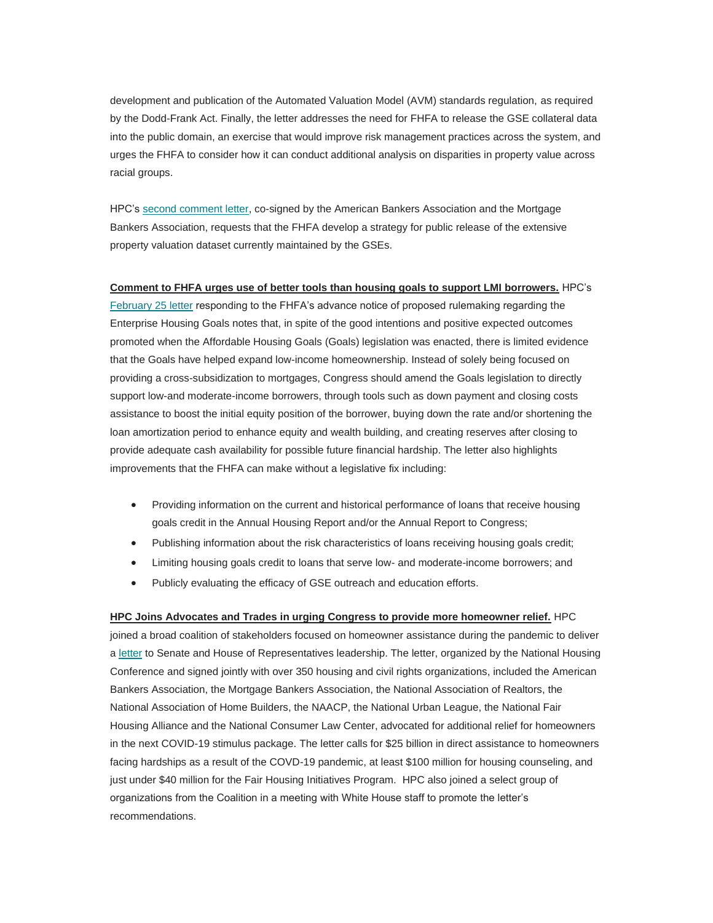development and publication of the Automated Valuation Model (AVM) standards regulation, as required by the Dodd-Frank Act. Finally, the letter addresses the need for FHFA to release the GSE collateral data into the public domain, an exercise that would improve risk management practices across the system, and urges the FHFA to consider how it can conduct additional analysis on disparities in property value across racial groups.

HPC's [second comment letter,](https://nam12.safelinks.protection.outlook.com/?url=https%3A%2F%2Ffbb0ab68-1668-4db6-9365-051035190b71.filesusr.com%2Fugd%2Fd315af_ee08047681fb44d18a9d17631cfe2354.pdf&data=04%7C01%7Canna.herndon%40edelman.com%7C424c4e86291e411d142408d8ddb7d568%7Cb824bfb3918e43c2bb1cdcc1ba40a82b%7C0%7C1%7C637503128917482828%7CUnknown%7CTWFpbGZsb3d8eyJWIjoiMC4wLjAwMDAiLCJQIjoiV2luMzIiLCJBTiI6Ik1haWwiLCJXVCI6Mn0%3D%7C1000&sdata=D7P1qry9ADeL7235U9Pwr1VXwR4vrCYwhe%2FGx%2FJGfvE%3D&reserved=0) co-signed by the American Bankers Association and the Mortgage Bankers Association, requests that the FHFA develop a strategy for public release of the extensive property valuation dataset currently maintained by the GSEs.

**Comment to FHFA urges use of better tools than housing goals to support LMI borrowers.** HPC's [February 25 letter](https://nam12.safelinks.protection.outlook.com/?url=https%3A%2F%2Ffbb0ab68-1668-4db6-9365-051035190b71.filesusr.com%2Fugd%2Fd315af_7d0ca99414ae48cc923c25fd152d2042.pdf&data=04%7C01%7Canna.herndon%40edelman.com%7C424c4e86291e411d142408d8ddb7d568%7Cb824bfb3918e43c2bb1cdcc1ba40a82b%7C0%7C1%7C637503128917492826%7CUnknown%7CTWFpbGZsb3d8eyJWIjoiMC4wLjAwMDAiLCJQIjoiV2luMzIiLCJBTiI6Ik1haWwiLCJXVCI6Mn0%3D%7C1000&sdata=jegnl718taR%2F1c67SxYFPV7OTV5C0ibK1PtH8P5Uvr0%3D&reserved=0) responding to the FHFA's advance notice of proposed rulemaking regarding the Enterprise Housing Goals notes that, in spite of the good intentions and positive expected outcomes promoted when the Affordable Housing Goals (Goals) legislation was enacted, there is limited evidence that the Goals have helped expand low-income homeownership. Instead of solely being focused on providing a cross-subsidization to mortgages, Congress should amend the Goals legislation to directly support low-and moderate-income borrowers, through tools such as down payment and closing costs assistance to boost the initial equity position of the borrower, buying down the rate and/or shortening the loan amortization period to enhance equity and wealth building, and creating reserves after closing to provide adequate cash availability for possible future financial hardship. The letter also highlights improvements that the FHFA can make without a legislative fix including:

- Providing information on the current and historical performance of loans that receive housing goals credit in the Annual Housing Report and/or the Annual Report to Congress;
- Publishing information about the risk characteristics of loans receiving housing goals credit;
- Limiting housing goals credit to loans that serve low- and moderate-income borrowers; and
- Publicly evaluating the efficacy of GSE outreach and education efforts.

**HPC Joins Advocates and Trades in urging Congress to provide more homeowner relief.** HPC joined a broad coalition of stakeholders focused on homeowner assistance during the pandemic to deliver a [letter](https://nam12.safelinks.protection.outlook.com/?url=https%3A%2F%2Ffbb0ab68-1668-4db6-9365-051035190b71.filesusr.com%2Fugd%2Fd315af_e4d1e17f91234203a9b491226044e169.pdf&data=04%7C01%7Canna.herndon%40edelman.com%7C424c4e86291e411d142408d8ddb7d568%7Cb824bfb3918e43c2bb1cdcc1ba40a82b%7C0%7C1%7C637503128917492826%7CUnknown%7CTWFpbGZsb3d8eyJWIjoiMC4wLjAwMDAiLCJQIjoiV2luMzIiLCJBTiI6Ik1haWwiLCJXVCI6Mn0%3D%7C1000&sdata=RMvf%2FnDsYxUQm4GiH43%2BkDKu0D%2FJyx9pcqU1YnotYPY%3D&reserved=0) to Senate and House of Representatives leadership. The letter, organized by the National Housing Conference and signed jointly with over 350 housing and civil rights organizations, included the American Bankers Association, the Mortgage Bankers Association, the National Association of Realtors, the National Association of Home Builders, the NAACP, the National Urban League, the National Fair Housing Alliance and the National Consumer Law Center, advocated for additional relief for homeowners in the next COVID-19 stimulus package. The letter calls for \$25 billion in direct assistance to homeowners facing hardships as a result of the COVD-19 pandemic, at least \$100 million for housing counseling, and just under \$40 million for the Fair Housing Initiatives Program. HPC also joined a select group of organizations from the Coalition in a meeting with White House staff to promote the letter's recommendations.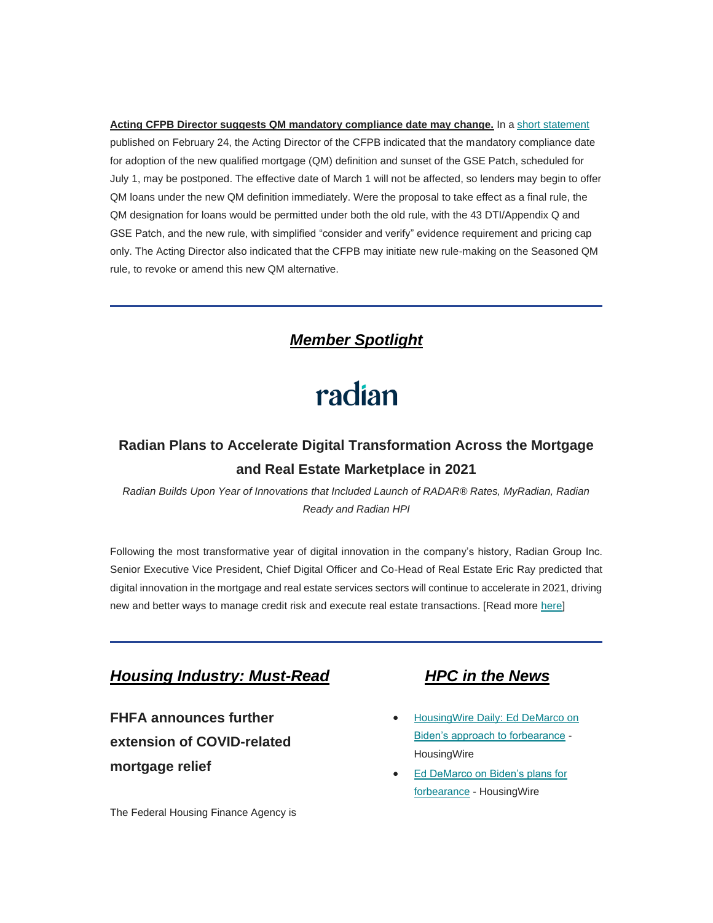**Acting CFPB Director suggests QM mandatory compliance date may change.** In a [short statement](https://nam12.safelinks.protection.outlook.com/?url=https%3A%2F%2Ffiles.consumerfinance.gov%2Ff%2Fdocuments%2Fcfpb_qm-statement_2021-02.pdf&data=04%7C01%7Canna.herndon%40edelman.com%7C424c4e86291e411d142408d8ddb7d568%7Cb824bfb3918e43c2bb1cdcc1ba40a82b%7C0%7C1%7C637503128917502823%7CUnknown%7CTWFpbGZsb3d8eyJWIjoiMC4wLjAwMDAiLCJQIjoiV2luMzIiLCJBTiI6Ik1haWwiLCJXVCI6Mn0%3D%7C1000&sdata=dCuVRBE3ADmdwQrky272ngVR5OI1GgwmQCj756EUcoE%3D&reserved=0) published on February 24, the Acting Director of the CFPB indicated that the mandatory compliance date for adoption of the new qualified mortgage (QM) definition and sunset of the GSE Patch, scheduled for July 1, may be postponed. The effective date of March 1 will not be affected, so lenders may begin to offer QM loans under the new QM definition immediately. Were the proposal to take effect as a final rule, the QM designation for loans would be permitted under both the old rule, with the 43 DTI/Appendix Q and GSE Patch, and the new rule, with simplified "consider and verify" evidence requirement and pricing cap only. The Acting Director also indicated that the CFPB may initiate new rule-making on the Seasoned QM rule, to revoke or amend this new QM alternative.

### *Member Spotlight*

# radian

## <span id="page-3-0"></span>**Radian Plans to Accelerate Digital Transformation Across the Mortgage and Real Estate Marketplace in 2021**

*Radian Builds Upon Year of Innovations that Included Launch of RADAR® Rates, MyRadian, Radian Ready and Radian HPI*

Following the most transformative year of digital innovation in the company's history, Radian Group Inc. Senior Executive Vice President, Chief Digital Officer and Co-Head of Real Estate Eric Ray predicted that digital innovation in the mortgage and real estate services sectors will continue to accelerate in 2021, driving new and better ways to manage credit risk and execute real estate transactions. [Read more [here\]](https://nam12.safelinks.protection.outlook.com/?url=https%3A%2F%2Fwww.radian.com%2Fnews-and-knowledge%2Fnews%3Fid%3D21236&data=04%7C01%7Canna.herndon%40edelman.com%7C424c4e86291e411d142408d8ddb7d568%7Cb824bfb3918e43c2bb1cdcc1ba40a82b%7C0%7C1%7C637503128917502823%7CUnknown%7CTWFpbGZsb3d8eyJWIjoiMC4wLjAwMDAiLCJQIjoiV2luMzIiLCJBTiI6Ik1haWwiLCJXVCI6Mn0%3D%7C1000&sdata=PDVR%2B4cqxuzF9hXjCWrUuHHp5MbfCzqdt91jtybYOmw%3D&reserved=0)

#### <span id="page-3-1"></span>*Housing Industry: Must-Read HPC in the News*

**FHFA announces further extension of COVID-related mortgage relief**

The Federal Housing Finance Agency is

- <span id="page-3-2"></span>• [HousingWire Daily:](https://nam12.safelinks.protection.outlook.com/?url=https%3A%2F%2Fwww.housingwire.com%2Fpodcast%2Fed-demarco-on-bidens-approach-to-forbearance%2F&data=04%7C01%7Canna.herndon%40edelman.com%7C424c4e86291e411d142408d8ddb7d568%7Cb824bfb3918e43c2bb1cdcc1ba40a82b%7C0%7C1%7C637503128917512818%7CUnknown%7CTWFpbGZsb3d8eyJWIjoiMC4wLjAwMDAiLCJQIjoiV2luMzIiLCJBTiI6Ik1haWwiLCJXVCI6Mn0%3D%7C1000&sdata=GkfgY3rAM4qr8Uv%2F7%2FkoqyjMr5HyeKqMCZPxIX9vDm0%3D&reserved=0) Ed DeMarco on [Biden's approach to forbearance](https://nam12.safelinks.protection.outlook.com/?url=https%3A%2F%2Fwww.housingwire.com%2Fpodcast%2Fed-demarco-on-bidens-approach-to-forbearance%2F&data=04%7C01%7Canna.herndon%40edelman.com%7C424c4e86291e411d142408d8ddb7d568%7Cb824bfb3918e43c2bb1cdcc1ba40a82b%7C0%7C1%7C637503128917512818%7CUnknown%7CTWFpbGZsb3d8eyJWIjoiMC4wLjAwMDAiLCJQIjoiV2luMzIiLCJBTiI6Ik1haWwiLCJXVCI6Mn0%3D%7C1000&sdata=GkfgY3rAM4qr8Uv%2F7%2FkoqyjMr5HyeKqMCZPxIX9vDm0%3D&reserved=0) - **HousingWire**
- Ed DeMarco on Biden's plans for [forbearance](https://nam12.safelinks.protection.outlook.com/?url=https%3A%2F%2Fwww.housingwire.com%2Farticles%2Fed-demarco-on-bidens-plans-for-forbearance%2F&data=04%7C01%7Canna.herndon%40edelman.com%7C424c4e86291e411d142408d8ddb7d568%7Cb824bfb3918e43c2bb1cdcc1ba40a82b%7C0%7C1%7C637503128917522811%7CUnknown%7CTWFpbGZsb3d8eyJWIjoiMC4wLjAwMDAiLCJQIjoiV2luMzIiLCJBTiI6Ik1haWwiLCJXVCI6Mn0%3D%7C1000&sdata=cRzn5rdaWyME%2FaHhm%2Bu5DOg1p9ENqsJVg%2F5crWC2dK0%3D&reserved=0) - HousingWire